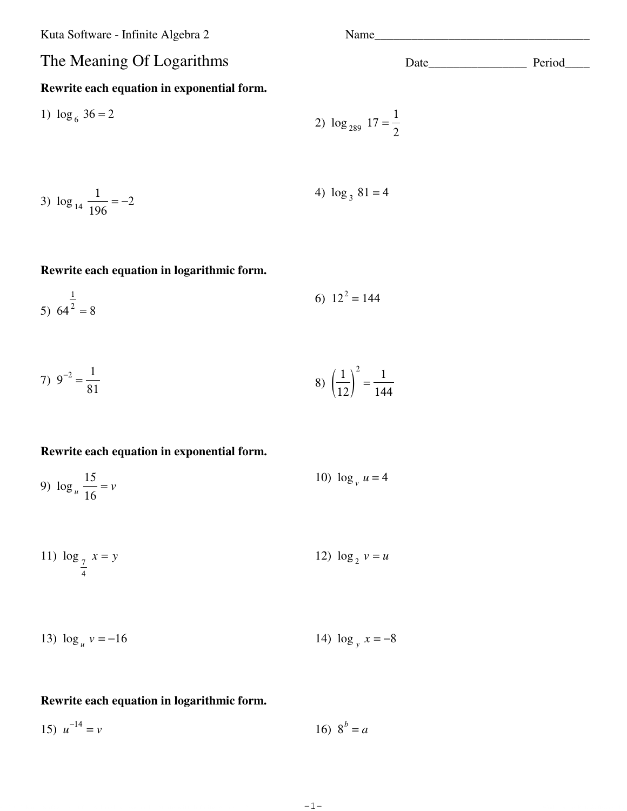Kuta Software - Infinite Algebra 2 Name\_\_\_\_\_\_\_\_\_\_\_\_\_\_\_\_\_\_\_\_\_\_\_\_\_\_\_\_\_\_\_\_\_\_\_

# **Rewrite each equation in exponential form.**

1) 
$$
\log_6 36 = 2
$$
  
2)  $\log_{289} 17 = \frac{1}{2}$ 

3) 
$$
\log_{14} \frac{1}{196} = -2
$$
 4)  $\log_3 81 = 4$ 

## **Rewrite each equation in logarithmic form.**

5) 
$$
64^{\frac{1}{2}} = 8
$$
 6)  $12^2 = 144$ 

7) 
$$
9^{-2} = \frac{1}{81}
$$
   
8)  $\left(\frac{1}{12}\right)^2 = \frac{1}{144}$ 

## **Rewrite each equation in exponential form.**

9) 
$$
\log_u \frac{15}{16} = v
$$
 10)  $\log_v u = 4$ 

11) 
$$
\log_{\frac{7}{4}} x = y
$$
 12)  $\log_2 v = u$ 

13) 
$$
\log_u v = -16
$$
 14)  $\log_y x = -8$ 

## **Rewrite each equation in logarithmic form.**

15)  $u^{-14}$  $= v$  16)  $8^b = a$ 

© 2012 Kata Software LLC. All rights reserved. Made with Infinite Algebra 2.  $-1 -$  variable of the Software LLC and Software LLC

-1-

The Meaning Of Logarithms Date Date Date Period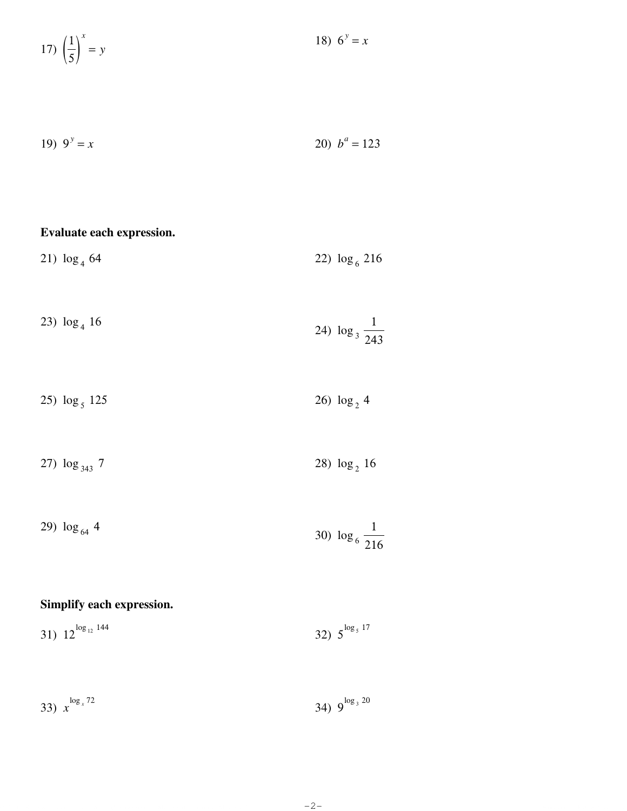17)  $\left(\frac{1}{5}\right)^{x} = y$ 

$$
19) \t9y = x \t\t\t\t\t20) \t ba = 123
$$

18)  $6^y = x$ 

21) 
$$
\log_4 64
$$
  
22)  $\log_6 216$   
23)  $\log_4 16$   
24)  $\log_3 \frac{1}{243}$ 

25)  $\log_5 125$ 26)  $\log_2 4$ 

27)  $\log_{343} 7$ 28)  $\log_2 16$ 

29) 
$$
\log_{64} 4
$$
 30)  $\log_6 \frac{1}{216}$ 

# Simplify each expression.

Evaluate each expression.

| 31) $12^{\log_{12} 144}$ | 32) $5^{\log_5 17}$ |
|--------------------------|---------------------|
|--------------------------|---------------------|

| 33) $x^{\log_{x}72}$ | 34) $9^{\log_3 20}$ |
|----------------------|---------------------|
|                      |                     |

 $-2-$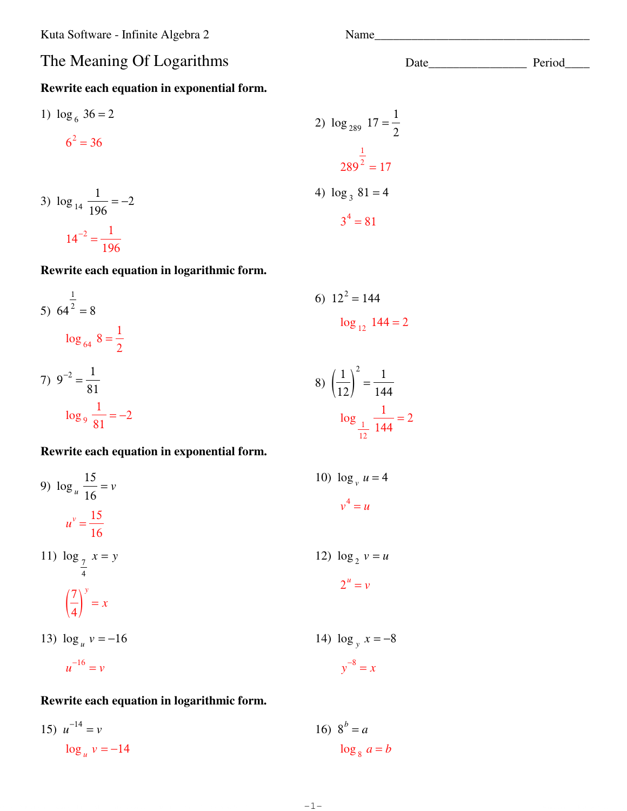Kuta Software - Infinite Algebra 2

# The Meaning Of Logarithms

# Rewrite each equation in exponential form.

1) 
$$
\log_6 36 = 2
$$
  
\n $6^2 = 36$   
\n2)  $\log_{289} 17 = \frac{1}{2}$   
\n3)  $\log_{14} \frac{1}{196} = -2$   
\n3)  $\log_{14} \frac{1}{196} = -2$   
\n4)  $\log_3 81 = 4$   
\n $3^4 = 81$ 

# Rewrite each equation in logarithmic form.

5) 
$$
64^{\frac{1}{2}} = 8
$$
  
\n $\log_{64} 8 = \frac{1}{2}$   
\n6)  $12^2 = 144$   
\n $\log_{12} 144 = 2$   
\n7)  $9^{-2} = \frac{1}{81}$   
\n $\log_{9} \frac{1}{81} = -2$   
\n8)  $\left(\frac{1}{12}\right)^2 = \frac{1}{144}$   
\n $\log_{\frac{1}{12}} \frac{1}{144} = 2$ 

### Rewrite each equation in exponential form.

9) 
$$
\log_u \frac{15}{16} = v
$$
  
\n $u^v = \frac{15}{16}$   
\n10)  $\log_v u = 4$   
\n $v^4 = u$   
\n11)  $\log_{\frac{7}{4}} x = y$   
\n12)  $\log_2 v = u$   
\n $2^u = v$   
\n13)  $\log_u v = -16$   
\n14)  $\log_y x = -8$   
\n $u^{-16} = v$   
\n15  
\n16  
\n17  
\n18  
\n19  
\n $v^4 = u$   
\n19  
\n $v^4 = u$   
\n10  
\n11  
\n $v^4 = u$   
\n12  
\n $2^u = v$   
\n13  
\n $v = -16$   
\n14  
\n $v^3 = x$ 

# Rewrite each equation in logarithmic form.

15)  $u^{-14} = v$ 16)  $8^b = a$  $\log_u v = -14$  $\log_8 a = b$ 

 $-1-$